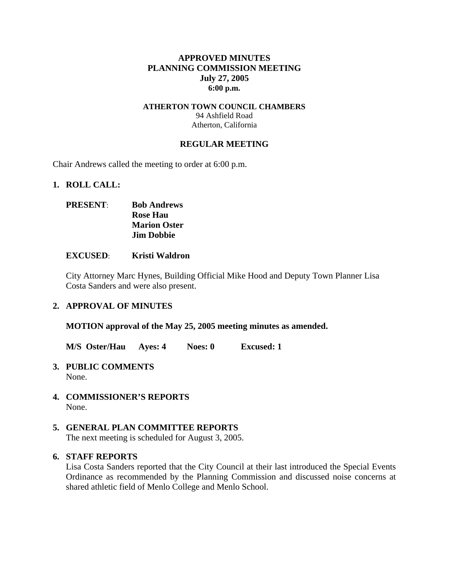#### **APPROVED MINUTES PLANNING COMMISSION MEETING July 27, 2005 6:00 p.m.**

#### **ATHERTON TOWN COUNCIL CHAMBERS**  94 Ashfield Road Atherton, California

#### **REGULAR MEETING**

Chair Andrews called the meeting to order at 6:00 p.m.

#### **1. ROLL CALL:**

## **PRESENT**: **Bob Andrews Rose Hau Marion Oster Jim Dobbie**

#### **EXCUSED**: **Kristi Waldron**

City Attorney Marc Hynes, Building Official Mike Hood and Deputy Town Planner Lisa Costa Sanders and were also present.

#### **2. APPROVAL OF MINUTES**

**MOTION approval of the May 25, 2005 meeting minutes as amended.** 

**M/S Oster/Hau Ayes: 4 Noes: 0 Excused: 1** 

- **3. PUBLIC COMMENTS**  None.
- **4. COMMISSIONER'S REPORTS**  None.

## **5. GENERAL PLAN COMMITTEE REPORTS**

The next meeting is scheduled for August 3, 2005.

### **6. STAFF REPORTS**

Lisa Costa Sanders reported that the City Council at their last introduced the Special Events Ordinance as recommended by the Planning Commission and discussed noise concerns at shared athletic field of Menlo College and Menlo School.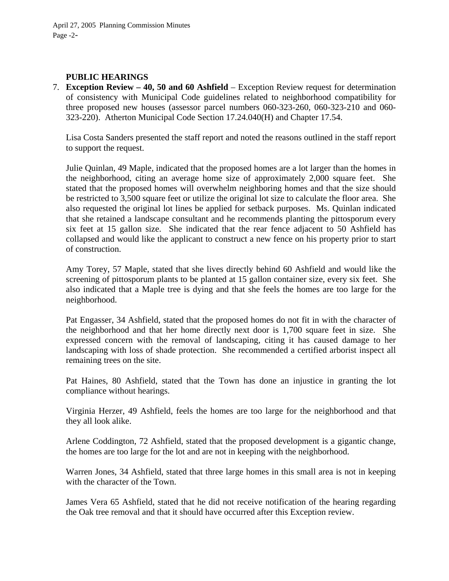#### **PUBLIC HEARINGS**

7. **Exception Review – 40, 50 and 60 Ashfield** – Exception Review request for determination of consistency with Municipal Code guidelines related to neighborhood compatibility for three proposed new houses (assessor parcel numbers 060-323-260, 060-323-210 and 060- 323-220). Atherton Municipal Code Section 17.24.040(H) and Chapter 17.54.

Lisa Costa Sanders presented the staff report and noted the reasons outlined in the staff report to support the request.

Julie Quinlan, 49 Maple, indicated that the proposed homes are a lot larger than the homes in the neighborhood, citing an average home size of approximately 2,000 square feet. She stated that the proposed homes will overwhelm neighboring homes and that the size should be restricted to 3,500 square feet or utilize the original lot size to calculate the floor area. She also requested the original lot lines be applied for setback purposes. Ms. Quinlan indicated that she retained a landscape consultant and he recommends planting the pittosporum every six feet at 15 gallon size. She indicated that the rear fence adjacent to 50 Ashfield has collapsed and would like the applicant to construct a new fence on his property prior to start of construction.

Amy Torey, 57 Maple, stated that she lives directly behind 60 Ashfield and would like the screening of pittosporum plants to be planted at 15 gallon container size, every six feet. She also indicated that a Maple tree is dying and that she feels the homes are too large for the neighborhood.

Pat Engasser, 34 Ashfield, stated that the proposed homes do not fit in with the character of the neighborhood and that her home directly next door is 1,700 square feet in size. She expressed concern with the removal of landscaping, citing it has caused damage to her landscaping with loss of shade protection. She recommended a certified arborist inspect all remaining trees on the site.

Pat Haines, 80 Ashfield, stated that the Town has done an injustice in granting the lot compliance without hearings.

Virginia Herzer, 49 Ashfield, feels the homes are too large for the neighborhood and that they all look alike.

Arlene Coddington, 72 Ashfield, stated that the proposed development is a gigantic change, the homes are too large for the lot and are not in keeping with the neighborhood.

Warren Jones, 34 Ashfield, stated that three large homes in this small area is not in keeping with the character of the Town.

James Vera 65 Ashfield, stated that he did not receive notification of the hearing regarding the Oak tree removal and that it should have occurred after this Exception review.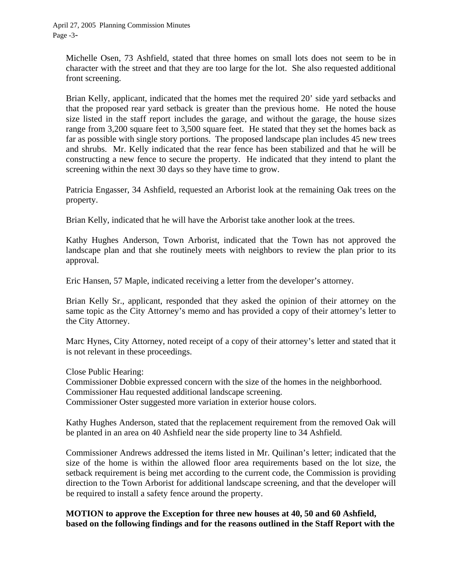April 27, 2005 Planning Commission Minutes Page -3-

Michelle Osen, 73 Ashfield, stated that three homes on small lots does not seem to be in character with the street and that they are too large for the lot. She also requested additional front screening.

Brian Kelly, applicant, indicated that the homes met the required 20' side yard setbacks and that the proposed rear yard setback is greater than the previous home. He noted the house size listed in the staff report includes the garage, and without the garage, the house sizes range from 3,200 square feet to 3,500 square feet. He stated that they set the homes back as far as possible with single story portions. The proposed landscape plan includes 45 new trees and shrubs. Mr. Kelly indicated that the rear fence has been stabilized and that he will be constructing a new fence to secure the property. He indicated that they intend to plant the screening within the next 30 days so they have time to grow.

Patricia Engasser, 34 Ashfield, requested an Arborist look at the remaining Oak trees on the property.

Brian Kelly, indicated that he will have the Arborist take another look at the trees.

Kathy Hughes Anderson, Town Arborist, indicated that the Town has not approved the landscape plan and that she routinely meets with neighbors to review the plan prior to its approval.

Eric Hansen, 57 Maple, indicated receiving a letter from the developer's attorney.

Brian Kelly Sr., applicant, responded that they asked the opinion of their attorney on the same topic as the City Attorney's memo and has provided a copy of their attorney's letter to the City Attorney.

Marc Hynes, City Attorney, noted receipt of a copy of their attorney's letter and stated that it is not relevant in these proceedings.

Close Public Hearing:

Commissioner Dobbie expressed concern with the size of the homes in the neighborhood. Commissioner Hau requested additional landscape screening. Commissioner Oster suggested more variation in exterior house colors.

Kathy Hughes Anderson, stated that the replacement requirement from the removed Oak will be planted in an area on 40 Ashfield near the side property line to 34 Ashfield.

Commissioner Andrews addressed the items listed in Mr. Quilinan's letter; indicated that the size of the home is within the allowed floor area requirements based on the lot size, the setback requirement is being met according to the current code, the Commission is providing direction to the Town Arborist for additional landscape screening, and that the developer will be required to install a safety fence around the property.

## **MOTION to approve the Exception for three new houses at 40, 50 and 60 Ashfield, based on the following findings and for the reasons outlined in the Staff Report with the**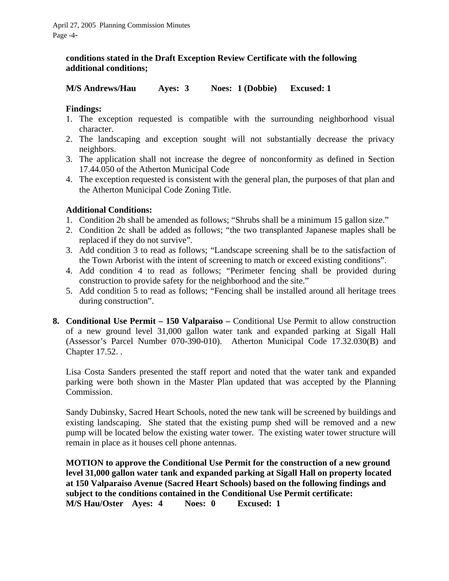### **conditions stated in the Draft Exception Review Certificate with the following additional conditions;**

**M/S Andrews/Hau Ayes: 3 Noes: 1 (Dobbie) Excused: 1** 

#### **Findings:**

- 1. The exception requested is compatible with the surrounding neighborhood visual character.
- 2. The landscaping and exception sought will not substantially decrease the privacy neighbors.
- 3. The application shall not increase the degree of nonconformity as defined in Section 17.44.050 of the Atherton Municipal Code
- 4. The exception requested is consistent with the general plan, the purposes of that plan and the Atherton Municipal Code Zoning Title.

## **Additional Conditions:**

- 1. Condition 2b shall be amended as follows; "Shrubs shall be a minimum 15 gallon size."
- 2. Condition 2c shall be added as follows; "the two transplanted Japanese maples shall be replaced if they do not survive".
- 3. Add condition 3 to read as follows; "Landscape screening shall be to the satisfaction of the Town Arborist with the intent of screening to match or exceed existing conditions".
- 4. Add condition 4 to read as follows; "Perimeter fencing shall be provided during construction to provide safety for the neighborhood and the site."
- 5. Add condition 5 to read as follows; "Fencing shall be installed around all heritage trees during construction".
- **8. Conditional Use Permit 150 Valparaiso** Conditional Use Permit to allow construction of a new ground level 31,000 gallon water tank and expanded parking at Sigall Hall (Assessor's Parcel Number 070-390-010). Atherton Municipal Code 17.32.030(B) and Chapter 17.52. .

Lisa Costa Sanders presented the staff report and noted that the water tank and expanded parking were both shown in the Master Plan updated that was accepted by the Planning Commission.

Sandy Dubinsky, Sacred Heart Schools, noted the new tank will be screened by buildings and existing landscaping. She stated that the existing pump shed will be removed and a new pump will be located below the existing water tower. The existing water tower structure will remain in place as it houses cell phone antennas.

**MOTION to approve the Conditional Use Permit for the construction of a new ground level 31,000 gallon water tank and expanded parking at Sigall Hall on property located at 150 Valparaiso Avenue (Sacred Heart Schools) based on the following findings and subject to the conditions contained in the Conditional Use Permit certificate: M/S Hau/Oster Ayes: 4 Noes: 0 Excused: 1**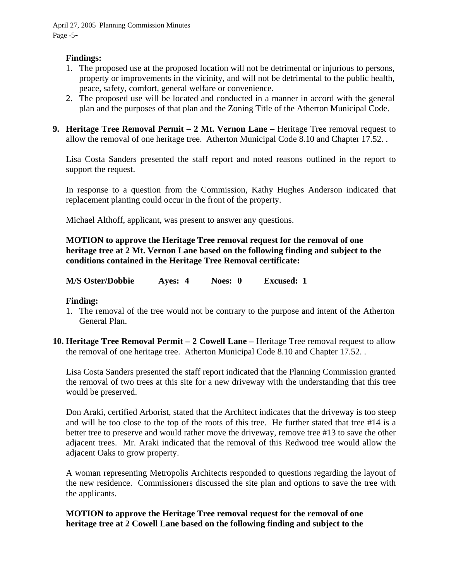#### **Findings:**

- 1. The proposed use at the proposed location will not be detrimental or injurious to persons, property or improvements in the vicinity, and will not be detrimental to the public health, peace, safety, comfort, general welfare or convenience.
- 2. The proposed use will be located and conducted in a manner in accord with the general plan and the purposes of that plan and the Zoning Title of the Atherton Municipal Code.
- **9. Heritage Tree Removal Permit 2 Mt. Vernon Lane –** Heritage Tree removal request to allow the removal of one heritage tree. Atherton Municipal Code 8.10 and Chapter 17.52. .

Lisa Costa Sanders presented the staff report and noted reasons outlined in the report to support the request.

In response to a question from the Commission, Kathy Hughes Anderson indicated that replacement planting could occur in the front of the property.

Michael Althoff, applicant, was present to answer any questions.

**MOTION to approve the Heritage Tree removal request for the removal of one heritage tree at 2 Mt. Vernon Lane based on the following finding and subject to the conditions contained in the Heritage Tree Removal certificate:** 

| <b>M/S Oster/Dobbie</b> | Ayes: 4 | Noes: 0 | <b>Excused: 1</b> |
|-------------------------|---------|---------|-------------------|
|-------------------------|---------|---------|-------------------|

#### **Finding:**

- 1. The removal of the tree would not be contrary to the purpose and intent of the Atherton General Plan.
- **10. Heritage Tree Removal Permit 2 Cowell Lane –** Heritage Tree removal request to allow the removal of one heritage tree. Atherton Municipal Code 8.10 and Chapter 17.52. .

Lisa Costa Sanders presented the staff report indicated that the Planning Commission granted the removal of two trees at this site for a new driveway with the understanding that this tree would be preserved.

Don Araki, certified Arborist, stated that the Architect indicates that the driveway is too steep and will be too close to the top of the roots of this tree. He further stated that tree #14 is a better tree to preserve and would rather move the driveway, remove tree #13 to save the other adjacent trees. Mr. Araki indicated that the removal of this Redwood tree would allow the adjacent Oaks to grow property.

A woman representing Metropolis Architects responded to questions regarding the layout of the new residence. Commissioners discussed the site plan and options to save the tree with the applicants.

## **MOTION to approve the Heritage Tree removal request for the removal of one heritage tree at 2 Cowell Lane based on the following finding and subject to the**